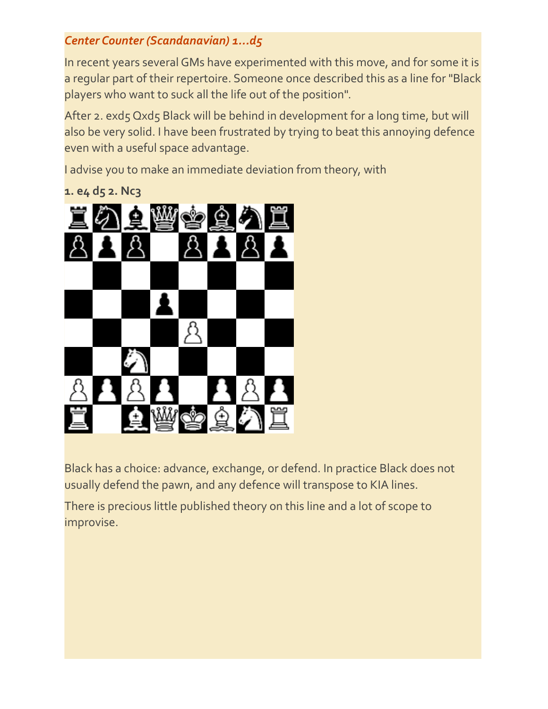### *Center Counter (Scandanavian) 1...d5*

In recent years several GMs have experimented with this move, and for some it is a regular part of their repertoire. Someone once described this as a line for "Black players who want to suck all the life out of the position".

After 2. exd5 Qxd5 Black will be behind in development for a long time, but will also be very solid. I have been frustrated by trying to beat this annoying defence even with a useful space advantage.

I advise you to make an immediate deviation from theory, with

**1. e4 d5 2. Nc3**



Black has a choice: advance, exchange, or defend. In practice Black does not usually defend the pawn, and any defence will transpose to KIA lines.

There is precious little published theory on this line and a lot of scope to improvise.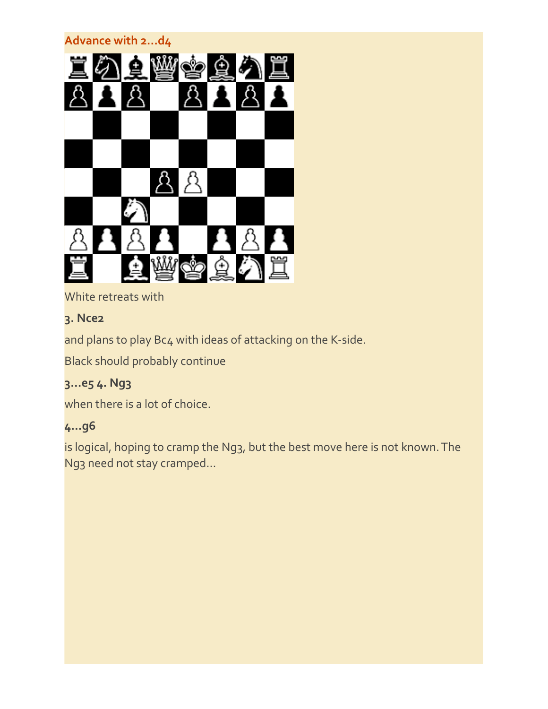# **Advance with 2...d4**

White retreats with

# **3. Nce2**

and plans to play Bc4 with ideas of attacking on the K-side.

Black should probably continue

# **3...e5 4. Ng3**

when there is a lot of choice.

# **4...g6**

is logical, hoping to cramp the Ng3, but the best move here is not known. The Ng3 need not stay cramped...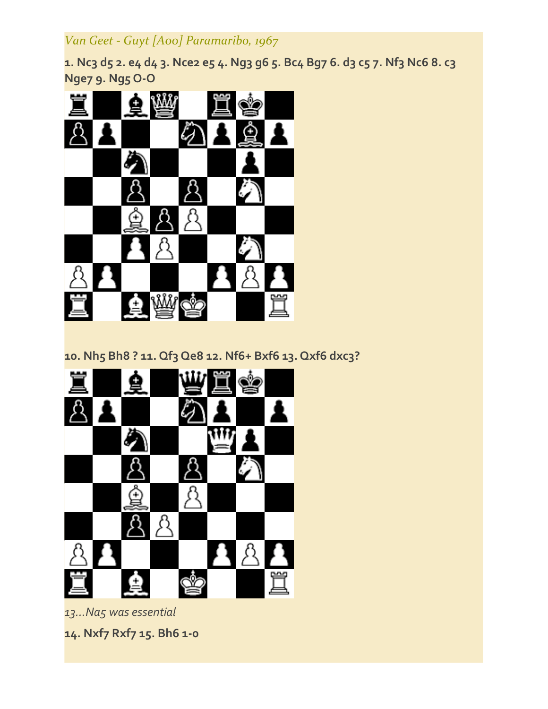# *Van Geet ‐ Guyt [A00] Paramaribo, 1967*

**1. Nc3 d5 2. e4 d4 3. Nce2 e5 4. Ng3 g6 5. Bc4 Bg7 6. d3 c5 7. Nf3 Nc6 8. c3 Nge7 9. Ng5 O‐O**



**10. Nh5 Bh8 ? 11. Qf3 Qe8 12. Nf6+ Bxf6 13. Qxf6 dxc3?**



*13...Na5 was essential*

**14. Nxf7 Rxf7 15. Bh6 1‐0**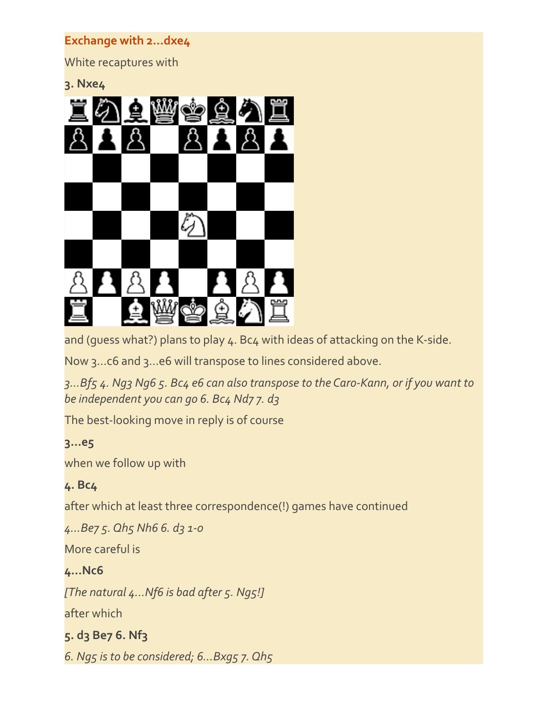### **Exchange with 2...dxe4**

White recaptures with

**3. Nxe4**



and (quess what?) plans to play 4. Bc4 with ideas of attacking on the K-side.

Now 3...c6 and 3...e6 will transpose to lines considered above.

*3...Bf5 4. Ng3 Ng6 5. Bc4 e6 can also transpose to the Caro‐Kann, or if you want to be independent you can go 6. Bc4 Nd7 7. d3*

The best-looking move in reply is of course

### **3...e5**

when we follow up with

### **4. Bc4**

after which at least three correspondence(!) games have continued

*4...Be7 5. Qh5 Nh6 6. d3 1‐0*

More careful is

### **4...Nc6**

*[The natural 4...Nf6 is bad after 5. Ng5!]*

after which

## **5. d3 Be7 6. Nf3**

*6. Ng5 is to be considered; 6...Bxg5 7. Qh5*